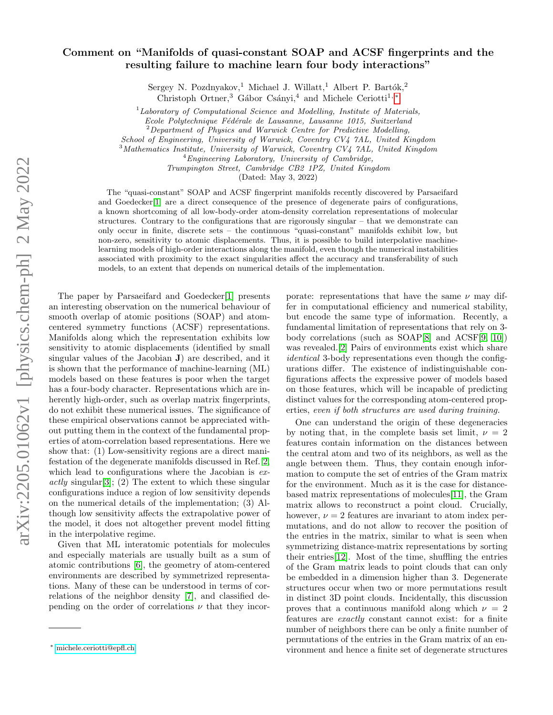## Comment on "Manifolds of quasi-constant SOAP and ACSF fingerprints and the resulting failure to machine learn four body interactions"

Sergey N. Pozdnyakov,<sup>1</sup> Michael J. Willatt,<sup>1</sup> Albert P. Bartók,<sup>2</sup>

Christoph Ortner,<sup>3</sup> Gábor Csányi,<sup>4</sup> and Michele Ceriotti<sup>1, [∗](#page-0-0)</sup>

 $1$ Laboratory of Computational Science and Modelling, Institute of Materials,

Ecole Polytechnique Fédérale de Lausanne, Lausanne 1015, Switzerland

School of Engineering, University of Warwick, Coventry CV4 7AL, United Kingdom

<sup>3</sup>Mathematics Institute, University of Warwick, Coventry CV4 7AL, United Kingdom

 ${}^{4}$ Engineering Laboratory, University of Cambridge,

Trumpington Street, Cambridge CB2 1PZ, United Kingdom

(Dated: May 3, 2022)

The "quasi-constant" SOAP and ACSF fingerprint manifolds recently discovered by Parsaeifard and Goedecker<sup>[\[1\]](#page-2-0)</sup> are a direct consequence of the presence of degenerate pairs of configurations, a known shortcoming of all low-body-order atom-density correlation representations of molecular structures. Contrary to the configurations that are rigorously singular – that we demonstrate can only occur in finite, discrete sets – the continuous "quasi-constant" manifolds exhibit low, but non-zero, sensitivity to atomic displacements. Thus, it is possible to build interpolative machinelearning models of high-order interactions along the manifold, even though the numerical instabilities associated with proximity to the exact singularities affect the accuracy and transferability of such models, to an extent that depends on numerical details of the implementation.

The paper by Parsaeifard and Goedecker[\[1\]](#page-2-0) presents an interesting observation on the numerical behaviour of smooth overlap of atomic positions (SOAP) and atomcentered symmetry functions (ACSF) representations. Manifolds along which the representation exhibits low sensitivity to atomic displacements (identified by small singular values of the Jacobian J) are described, and it is shown that the performance of machine-learning (ML) models based on these features is poor when the target has a four-body character. Representations which are inherently high-order, such as overlap matrix fingerprints, do not exhibit these numerical issues. The significance of these empirical observations cannot be appreciated without putting them in the context of the fundamental properties of atom-correlation based representations. Here we show that: (1) Low-sensitivity regions are a direct manifestation of the degenerate manifolds discussed in Ref. [2,](#page-2-1) which lead to configurations where the Jacobian is  $ex$  $actly$  singular<sup>[\[3\]](#page-3-0)</sup>; (2) The extent to which these singular configurations induce a region of low sensitivity depends on the numerical details of the implementation; (3) Although low sensitivity affects the extrapolative power of the model, it does not altogether prevent model fitting in the interpolative regime.

Given that ML interatomic potentials for molecules and especially materials are usually built as a sum of atomic contributions [\[6\]](#page-3-1), the geometry of atom-centered environments are described by symmetrized representations. Many of these can be understood in terms of correlations of the neighbor density [\[7\]](#page-3-2), and classified depending on the order of correlations  $\nu$  that they incor-

porate: representations that have the same  $\nu$  may differ in computational efficiency and numerical stability, but encode the same type of information. Recently, a fundamental limitation of representations that rely on 3 body correlations (such as SOAP[\[8\]](#page-3-3) and ACSF[\[9,](#page-3-4) [10\]](#page-3-5)) was revealed.[\[2\]](#page-2-1) Pairs of environments exist which share identical 3-body representations even though the configurations differ. The existence of indistinguishable configurations affects the expressive power of models based on those features, which will be incapable of predicting distinct values for the corresponding atom-centered properties, even if both structures are used during training.

One can understand the origin of these degeneracies by noting that, in the complete basis set limit,  $\nu = 2$ features contain information on the distances between the central atom and two of its neighbors, as well as the angle between them. Thus, they contain enough information to compute the set of entries of the Gram matrix for the environment. Much as it is the case for distancebased matrix representations of molecules[\[11\]](#page-3-6), the Gram matrix allows to reconstruct a point cloud. Crucially, however,  $\nu = 2$  features are invariant to atom index permutations, and do not allow to recover the position of the entries in the matrix, similar to what is seen when symmetrizing distance-matrix representations by sorting their entries[\[12\]](#page-3-7). Most of the time, shuffling the entries of the Gram matrix leads to point clouds that can only be embedded in a dimension higher than 3. Degenerate structures occur when two or more permutations result in distinct 3D point clouds. Incidentally, this discussion proves that a continuous manifold along which  $\nu = 2$ features are exactly constant cannot exist: for a finite number of neighbors there can be only a finite number of permutations of the entries in the Gram matrix of an environment and hence a finite set of degenerate structures

 $2$ Department of Physics and Warwick Centre for Predictive Modelling,

<span id="page-0-0"></span><sup>∗</sup> [michele.ceriotti@epfl.ch](mailto:michele.ceriotti@epfl.ch)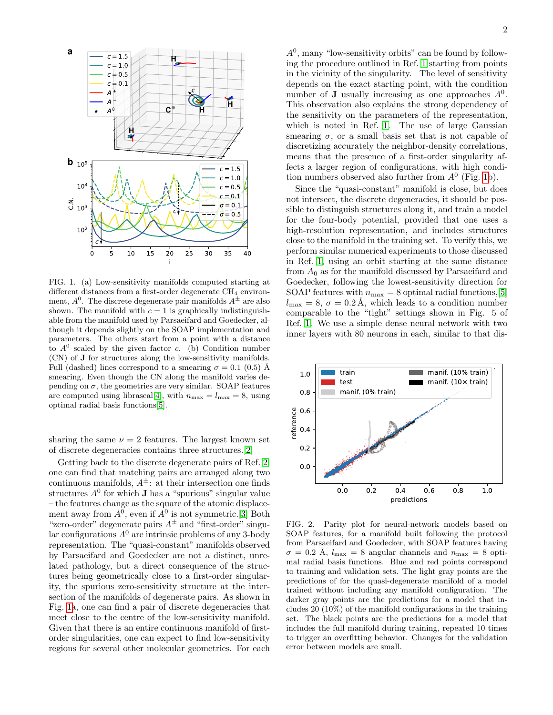

<span id="page-1-0"></span>FIG. 1. (a) Low-sensitivity manifolds computed starting at different distances from a first-order degenerate CH<sub>4</sub> environment,  $A^0$ . The discrete degenerate pair manifolds  $A^{\pm}$  are also shown. The manifold with  $c = 1$  is graphically indistinguishable from the manifold used by Parsaeifard and Goedecker, although it depends slightly on the SOAP implementation and parameters. The others start from a point with a distance to  $A^0$  scaled by the given factor c. (b) Condition number (CN) of J for structures along the low-sensitivity manifolds. Full (dashed) lines correspond to a smearing  $\sigma = 0.1$  (0.5) Å smearing. Even though the CN along the manifold varies depending on  $\sigma$ , the geometries are very similar. SOAP features are computed using librascal[\[4\]](#page-3-8), with  $n_{\text{max}} = l_{\text{max}} = 8$ , using optimal radial basis functions[\[5\]](#page-3-9).

sharing the same  $\nu = 2$  features. The largest known set of discrete degeneracies contains three structures.[\[2\]](#page-2-1)

Getting back to the discrete degenerate pairs of Ref. [2,](#page-2-1) one can find that matching pairs are arranged along two continuous manifolds,  $A^{\pm}$ : at their intersection one finds structures  $A^0$  for which **J** has a "spurious" singular value – the features change as the square of the atomic displacement away from  $A^0$ , even if  $A^0$  is not symmetric. [\[3\]](#page-3-0) Both "zero-order" degenerate pairs  $A^{\pm}$  and "first-order" singular configurations  $A^0$  are intrinsic problems of any 3-body representation. The "quasi-constant" manifolds observed by Parsaeifard and Goedecker are not a distinct, unrelated pathology, but a direct consequence of the structures being geometrically close to a first-order singularity, the spurious zero-sensitivity structure at the intersection of the manifolds of degenerate pairs. As shown in Fig. [1a](#page-1-0), one can find a pair of discrete degeneracies that meet close to the centre of the low-sensitivity manifold. Given that there is an entire continuous manifold of firstorder singularities, one can expect to find low-sensitivity regions for several other molecular geometries. For each

 $A<sup>0</sup>$ , many "low-sensitivity orbits" can be found by following the procedure outlined in Ref. [1](#page-2-0) starting from points in the vicinity of the singularity. The level of sensitivity depends on the exact starting point, with the condition number of **J** usually increasing as one approaches  $A^0$ . This observation also explains the strong dependency of the sensitivity on the parameters of the representation, which is noted in Ref. [1.](#page-2-0) The use of large Gaussian smearing  $\sigma$ , or a small basis set that is not capable of discretizing accurately the neighbor-density correlations, means that the presence of a first-order singularity affects a larger region of configurations, with high condition numbers observed also further from  $A^0$  (Fig. [1b](#page-1-0)).

Since the "quasi-constant" manifold is close, but does not intersect, the discrete degeneracies, it should be possible to distinguish structures along it, and train a model for the four-body potential, provided that one uses a high-resolution representation, and includes structures close to the manifold in the training set. To verify this, we perform similar numerical experiments to those discussed in Ref. [1,](#page-2-0) using an orbit starting at the same distance from  $A_0$  as for the manifold discussed by Parsaeifard and Goedecker, following the lowest-sensitivity direction for SOAP features with  $n_{\text{max}} = 8$  optimal radial functions, [\[5\]](#page-3-9)  $l_{\text{max}} = 8, \sigma = 0.2 \text{ Å}$ , which leads to a condition number comparable to the "tight" settings shown in Fig. 5 of Ref. [1.](#page-2-0) We use a simple dense neural network with two inner layers with 80 neurons in each, similar to that dis-



<span id="page-1-1"></span>FIG. 2. Parity plot for neural-network models based on SOAP features, for a manifold built following the protocol from Parsaeifard and Goedecker, with SOAP features having  $\sigma = 0.2$  Å,  $l_{\text{max}} = 8$  angular channels and  $n_{\text{max}} = 8$  optimal radial basis functions. Blue and red points correspond to training and validation sets. The light gray points are the predictions of for the quasi-degenerate manifold of a model trained without including any manifold configuration. The darker gray points are the predictions for a model that includes 20 (10%) of the manifold configurations in the training set. The black points are the predictions for a model that includes the full manifold during training, repeated 10 times to trigger an overfitting behavior. Changes for the validation error between models are small.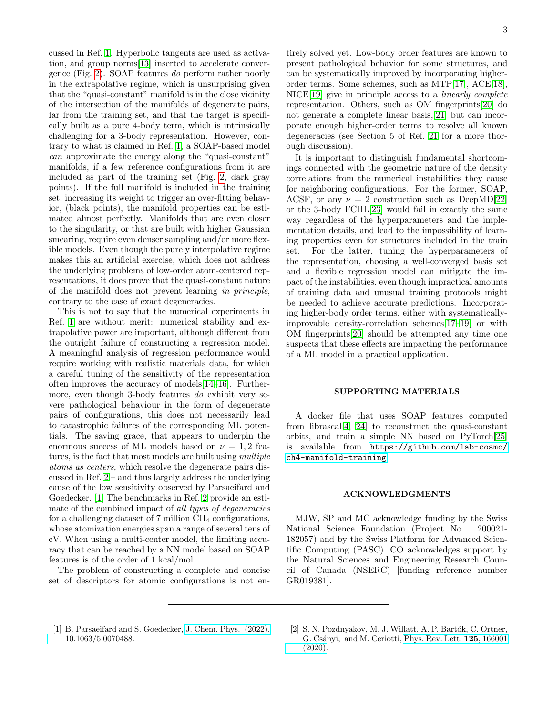cussed in Ref. [1.](#page-2-0) Hyperbolic tangents are used as activation, and group norms[\[13\]](#page-3-10) inserted to accelerate convergence (Fig. [2\)](#page-1-1). SOAP features do perform rather poorly in the extrapolative regime, which is unsurprising given that the "quasi-constant" manifold is in the close vicinity of the intersection of the manifolds of degenerate pairs, far from the training set, and that the target is specifically built as a pure 4-body term, which is intrinsically challenging for a 3-body representation. However, contrary to what is claimed in Ref. [1,](#page-2-0) a SOAP-based model can approximate the energy along the "quasi-constant" manifolds, if a few reference configurations from it are included as part of the training set (Fig. [2,](#page-1-1) dark gray points). If the full manifold is included in the training set, increasing its weight to trigger an over-fitting behavior, (black points), the manifold properties can be estimated almost perfectly. Manifolds that are even closer to the singularity, or that are built with higher Gaussian smearing, require even denser sampling and/or more flexible models. Even though the purely interpolative regime makes this an artificial exercise, which does not address the underlying problems of low-order atom-centered representations, it does prove that the quasi-constant nature of the manifold does not prevent learning in principle, contrary to the case of exact degeneracies.

This is not to say that the numerical experiments in Ref. [1](#page-2-0) are without merit: numerical stability and extrapolative power are important, although different from the outright failure of constructing a regression model. A meaningful analysis of regression performance would require working with realistic materials data, for which a careful tuning of the sensitivity of the representation often improves the accuracy of models[\[14](#page-3-11)[–16\]](#page-3-12). Furthermore, even though 3-body features do exhibit very severe pathological behaviour in the form of degenerate pairs of configurations, this does not necessarily lead to catastrophic failures of the corresponding ML potentials. The saving grace, that appears to underpin the enormous success of ML models based on  $\nu = 1, 2$  features, is the fact that most models are built using multiple atoms as centers, which resolve the degenerate pairs discussed in Ref. [2](#page-2-1) – and thus largely address the underlying cause of the low sensitivity observed by Parsaeifard and Goedecker. [\[1\]](#page-2-0) The benchmarks in Ref. [2](#page-2-1) provide an estimate of the combined impact of all types of degeneracies for a challenging dataset of  $7$  million  $CH_4$  configurations, whose atomization energies span a range of several tens of eV. When using a multi-center model, the limiting accuracy that can be reached by a NN model based on SOAP features is of the order of 1 kcal/mol.

The problem of constructing a complete and concise set of descriptors for atomic configurations is not en-

tirely solved yet. Low-body order features are known to present pathological behavior for some structures, and can be systematically improved by incorporating higherorder terms. Some schemes, such as MTP[\[17\]](#page-3-13), ACE[\[18\]](#page-3-14), NICE[\[19\]](#page-3-15) give in principle access to a linearly complete representation. Others, such as OM fingerprints[\[20\]](#page-3-16) do not generate a complete linear basis,[\[21\]](#page-3-17) but can incorporate enough higher-order terms to resolve all known degeneracies (see Section 5 of Ref. [21](#page-3-17) for a more thorough discussion).

It is important to distinguish fundamental shortcomings connected with the geometric nature of the density correlations from the numerical instabilities they cause for neighboring configurations. For the former, SOAP, ACSF, or any  $\nu = 2$  construction such as DeepMD[\[22\]](#page-3-18) or the 3-body FCHL[\[23\]](#page-3-19) would fail in exactly the same way regardless of the hyperparameters and the implementation details, and lead to the impossibility of learning properties even for structures included in the train set. For the latter, tuning the hyperparameters of the representation, choosing a well-converged basis set and a flexible regression model can mitigate the impact of the instabilities, even though impractical amounts of training data and unusual training protocols might be needed to achieve accurate predictions. Incorporating higher-body order terms, either with systematicallyimprovable density-correlation schemes[\[17–](#page-3-13)[19\]](#page-3-15) or with OM fingerprints[\[20\]](#page-3-16) should be attempted any time one suspects that these effects are impacting the performance of a ML model in a practical application.

## SUPPORTING MATERIALS

A docker file that uses SOAP features computed from librascal[\[4,](#page-3-8) [24\]](#page-3-20) to reconstruct the quasi-constant orbits, and train a simple NN based on PyTorch[\[25\]](#page-3-21) is available from [https://github.com/lab-cosmo/](https://github.com/lab-cosmo/ch4-manifold-training) [ch4-manifold-training](https://github.com/lab-cosmo/ch4-manifold-training).

## ACKNOWLEDGMENTS

MJW, SP and MC acknowledge funding by the Swiss National Science Foundation (Project No. 200021- 182057) and by the Swiss Platform for Advanced Scientific Computing (PASC). CO acknowledges support by the Natural Sciences and Engineering Research Council of Canada (NSERC) [funding reference number GR019381].

- <span id="page-2-0"></span>[1] B. Parsaeifard and S. Goedecker, [J. Chem. Phys. \(2022\),](http://dx.doi.org/10.1063/5.0070488) [10.1063/5.0070488.](http://dx.doi.org/10.1063/5.0070488)
- <span id="page-2-1"></span>[2] S. N. Pozdnyakov, M. J. Willatt, A. P. Bartók, C. Ortner, G. Cs´anyi, and M. Ceriotti, [Phys. Rev. Lett.](http://dx.doi.org/10.1103/PhysRevLett.125.166001) 125, 166001 [\(2020\).](http://dx.doi.org/10.1103/PhysRevLett.125.166001)